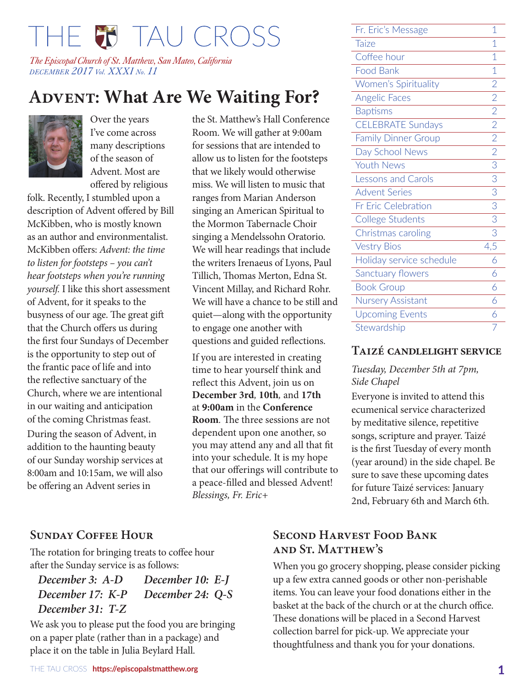# THE W TAU CROSS

*The Episcopal Church of St. Matthew, San Mateo, California DECEMBER 2017 Vol. XXXI No. 11*

# **ADVENT: What Are We Waiting For?**



Over the years I've come across many descriptions of the season of Advent. Most are offered by religious

folk. Recently, I stumbled upon a description of Advent offered by Bill McKibben, who is mostly known as an author and environmentalist. McKibben offers: *Advent: the time to listen for footsteps – you can't hear footsteps when you're running yourself.* I like this short assessment of Advent, for it speaks to the busyness of our age. The great gift that the Church offers us during the first four Sundays of December is the opportunity to step out of the frantic pace of life and into the reflective sanctuary of the Church, where we are intentional in our waiting and anticipation of the coming Christmas feast. During the season of Advent, in addition to the haunting beauty of our Sunday worship services at 8:00am and 10:15am, we will also be offering an Advent series in

the St. Matthew's Hall Conference Room. We will gather at 9:00am for sessions that are intended to allow us to listen for the footsteps that we likely would otherwise miss. We will listen to music that ranges from Marian Anderson singing an American Spiritual to the Mormon Tabernacle Choir singing a Mendelssohn Oratorio. We will hear readings that include the writers Irenaeus of Lyons, Paul Tillich, Thomas Merton, Edna St. Vincent Millay, and Richard Rohr. We will have a chance to be still and quiet—along with the opportunity to engage one another with questions and guided reflections.

If you are interested in creating time to hear yourself think and reflect this Advent, join us on **December 3rd***,* **10th***,* and **17th** at **9:00am** in the **Conference Room***.* The three sessions are not dependent upon one another, so you may attend any and all that fit into your schedule. It is my hope that our offerings will contribute to a peace-filled and blessed Advent! *Blessings, Fr. Eric+* 

#### **Sunday Coffee Hour**

The rotation for bringing treats to coffee hour after the Sunday service is as follows:

*December 3: A-D December 10: E-J December 17: K-P December 24: Q-S December 31: T-Z* 

We ask you to please put the food you are bringing on a paper plate (rather than in a package) and place it on the table in Julia Beylard Hall.

| Fr. Eric's Message          | 1              |
|-----------------------------|----------------|
| <b>Taize</b>                | 1              |
| Coffee hour                 | 1              |
| <b>Food Bank</b>            | $\mathbf 1$    |
| <b>Women's Spirituality</b> | $\overline{2}$ |
| <b>Angelic Faces</b>        | $\overline{2}$ |
| <b>Baptisms</b>             | $\overline{2}$ |
| <b>CELEBRATE Sundays</b>    | $\overline{2}$ |
| <b>Family Dinner Group</b>  | $\overline{2}$ |
| Day School News             | $\overline{2}$ |
| <b>Youth News</b>           | 3              |
| <b>Lessons and Carols</b>   | 3              |
| <b>Advent Series</b>        | 3              |
| <b>Fr Eric Celebration</b>  | 3              |
| College Students            | 3              |
| Christmas caroling          | 3              |
| <b>Vestry Bios</b>          | 4,5            |
| Holiday service schedule    | 6              |
| Sanctuary flowers           | 6              |
| <b>Book Group</b>           | 6              |
| <b>Nursery Assistant</b>    | 6              |
| <b>Upcoming Events</b>      | 6              |

#### **Taizé candlelight service**

*Tuesday, December 5th at 7pm, Side Chapel*

Stewardship

Everyone is invited to attend this ecumenical service characterized by meditative silence, repetitive songs, scripture and prayer. Taizé is the first Tuesday of every month (year around) in the side chapel. Be sure to save these upcoming dates for future Taizé services: January 2nd, February 6th and March 6th.

## **Second Harvest Food Bank and St. Matthew's**

When you go grocery shopping, please consider picking up a few extra canned goods or other non-perishable items. You can leave your food donations either in the basket at the back of the church or at the church office. These donations will be placed in a Second Harvest collection barrel for pick-up. We appreciate your thoughtfulness and thank you for your donations.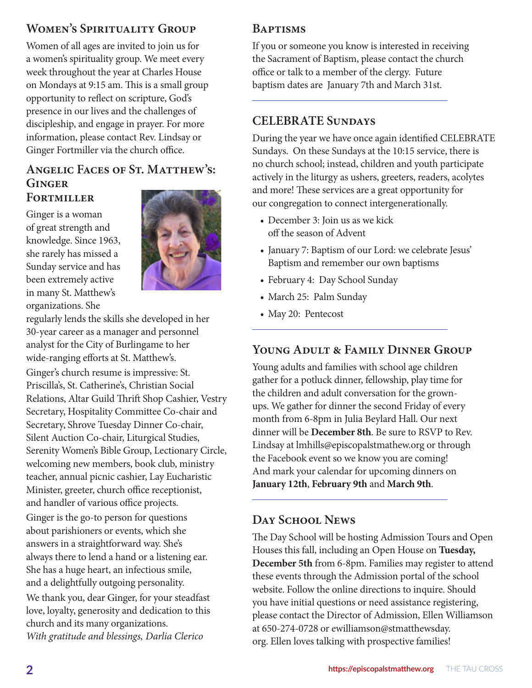## **Women's Spirituality Group**

Women of all ages are invited to join us for a women's spirituality group. We meet every week throughout the year at Charles House on Mondays at 9:15 am. This is a small group opportunity to reflect on scripture, God's presence in our lives and the challenges of discipleship, and engage in prayer. For more information, please contact Rev. Lindsay or Ginger Fortmiller via the church office.

#### **Angelic Faces of St. Matthew's: Ginger Fortmiller**

Ginger is a woman of great strength and knowledge. Since 1963, she rarely has missed a Sunday service and has been extremely active in many St. Matthew's organizations. She



regularly lends the skills she developed in her 30-year career as a manager and personnel analyst for the City of Burlingame to her wide-ranging efforts at St. Matthew's.

Ginger's church resume is impressive: St. Priscilla's, St. Catherine's, Christian Social Relations, Altar Guild Thrift Shop Cashier, Vestry Secretary, Hospitality Committee Co-chair and Secretary, Shrove Tuesday Dinner Co-chair, Silent Auction Co-chair, Liturgical Studies, Serenity Women's Bible Group, Lectionary Circle, welcoming new members, book club, ministry teacher, annual picnic cashier, Lay Eucharistic Minister, greeter, church office receptionist, and handler of various office projects. Ginger is the go-to person for questions about parishioners or events, which she answers in a straightforward way. She's always there to lend a hand or a listening ear. She has a huge heart, an infectious smile, and a delightfully outgoing personality. We thank you, dear Ginger, for your steadfast love, loyalty, generosity and dedication to this church and its many organizations. *With gratitude and blessings, Darlia Clerico* 

## **Baptisms**

If you or someone you know is interested in receiving the Sacrament of Baptism, please contact the church office or talk to a member of the clergy. Future baptism dates are January 7th and March 31st.

#### **CELEBRATE Sundays**

During the year we have once again identified CELEBRATE Sundays. On these Sundays at the 10:15 service, there is no church school; instead, children and youth participate actively in the liturgy as ushers, greeters, readers, acolytes and more! These services are a great opportunity for our congregation to connect intergenerationally.

- December 3: Join us as we kick off the season of Advent
- January 7: Baptism of our Lord: we celebrate Jesus' Baptism and remember our own baptisms
- February 4: Day School Sunday
- March 25: Palm Sunday
- May 20: Pentecost

## **Young Adult & Family Dinner Group**

Young adults and families with school age children gather for a potluck dinner, fellowship, play time for the children and adult conversation for the grownups. We gather for dinner the second Friday of every month from 6-8pm in Julia Beylard Hall. Our next dinner will be **December 8th**. Be sure to RSVP to Rev. Lindsay at lmhills@episcopalstmathew.org or through the Facebook event so we know you are coming! And mark your calendar for upcoming dinners on **January 12th**, **February 9th** and **March 9th**.

#### **Day School News**

The Day School will be hosting Admission Tours and Open Houses this fall, including an Open House on **Tuesday, December 5th** from 6-8pm. Families may register to attend these events through the Admission portal of the school website. Follow the online directions to inquire. Should you have initial questions or need assistance registering, please contact the Director of Admission, Ellen Williamson at 650-274-0728 or ewilliamson@stmatthewsday. org. Ellen loves talking with prospective families!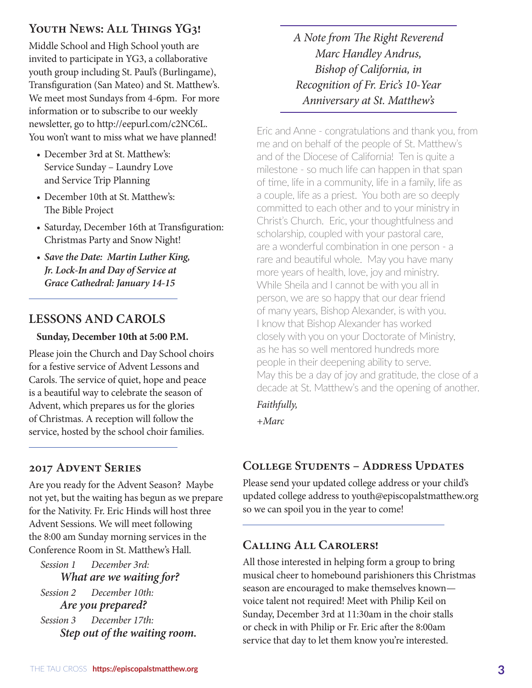## YOUTH NEWS: ALL THINGS YG3!

Middle School and High School youth are invited to participate in YG3, a collaborative youth group including St. Paul's (Burlingame), Transfiguration (San Mateo) and St. Matthew's. We meet most Sundays from 4-6pm. For more information or to subscribe to our weekly newsletter, go to http://eepurl.com/c2NC6L. You won't want to miss what we have planned!

- December 3rd at St. Matthew's: Service Sunday – Laundry Love and Service Trip Planning
- December 10th at St. Matthew's: The Bible Project
- Saturday, December 16th at Transfiguration: Christmas Party and Snow Night!
- *• Save the Date: Martin Luther King, Jr. Lock-In and Day of Service at Grace Cathedral: January 14-15*

## **LESSONS AND CAROLS**

#### **Sunday, December 10th at 5:00 P.M.**

Please join the Church and Day School choirs for a festive service of Advent Lessons and Carols. The service of quiet, hope and peace is a beautiful way to celebrate the season of Advent, which prepares us for the glories of Christmas. A reception will follow the service, hosted by the school choir families.

## **2017 Advent Series**

Are you ready for the Advent Season? Maybe not yet, but the waiting has begun as we prepare for the Nativity. Fr. Eric Hinds will host three Advent Sessions. We will meet following the 8:00 am Sunday morning services in the Conference Room in St. Matthew's Hall.

*Session 1 December 3rd: What are we waiting for? Session 2 December 10th: Are you prepared? Session 3 December 17th: Step out of the waiting room.* *A Note from The Right Reverend Marc Handley Andrus, Bishop of California, in Recognition of Fr. Eric's 10-Year Anniversary at St. Matthew's*

Eric and Anne - congratulations and thank you, from me and on behalf of the people of St. Matthew's and of the Diocese of California! Ten is quite a milestone - so much life can happen in that span of time, life in a community, life in a family, life as a couple, life as a priest. You both are so deeply committed to each other and to your ministry in Christ's Church. Eric, your thoughtfulness and scholarship, coupled with your pastoral care, are a wonderful combination in one person - a rare and beautiful whole. May you have many more years of health, love, joy and ministry. While Sheila and I cannot be with you all in person, we are so happy that our dear friend of many years, Bishop Alexander, is with you. I know that Bishop Alexander has worked closely with you on your Doctorate of Ministry, as he has so well mentored hundreds more people in their deepening ability to serve. May this be a day of joy and gratitude, the close of a decade at St. Matthew's and the opening of another.

*Faithfully,*

*+Marc*

## **College Students – Address Updates**

Please send your updated college address or your child's updated college address to youth@episcopalstmatthew.org so we can spoil you in the year to come!

## **Calling All Carolers!**

All those interested in helping form a group to bring musical cheer to homebound parishioners this Christmas season are encouraged to make themselves known voice talent not required! Meet with Philip Keil on Sunday, December 3rd at 11:30am in the choir stalls or check in with Philip or Fr. Eric after the 8:00am service that day to let them know you're interested.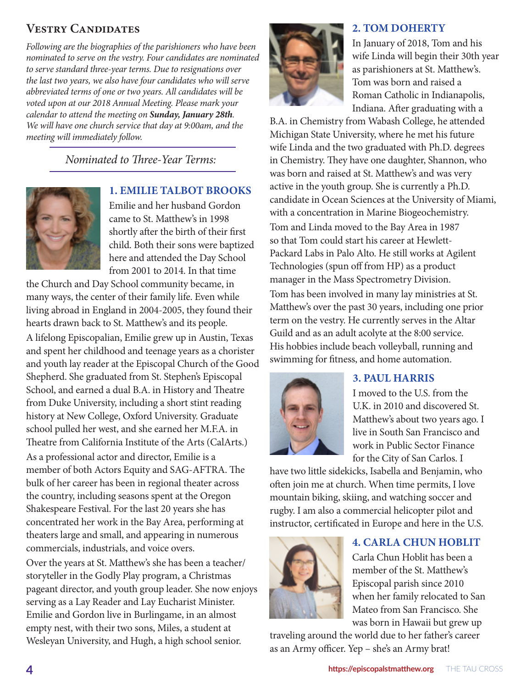## **Vestry Candidates**

*Following are the biographies of the parishioners who have been nominated to serve on the vestry. Four candidates are nominated to serve standard three-year terms. Due to resignations over the last two years, we also have four candidates who will serve abbreviated terms of one or two years. All candidates will be voted upon at our 2018 Annual Meeting. Please mark your calendar to attend the meeting on Sunday, January 28th. We will have one church service that day at 9:00am, and the meeting will immediately follow.*

## *Nominated to Three-Year Terms:*



#### **1. EMILIE TALBOT BROOKS**

Emilie and her husband Gordon came to St. Matthew's in 1998 shortly after the birth of their first child. Both their sons were baptized here and attended the Day School from 2001 to 2014. In that time

the Church and Day School community became, in many ways, the center of their family life. Even while living abroad in England in 2004-2005, they found their hearts drawn back to St. Matthew's and its people.

A lifelong Episcopalian, Emilie grew up in Austin, Texas and spent her childhood and teenage years as a chorister and youth lay reader at the Episcopal Church of the Good Shepherd. She graduated from St. Stephen's Episcopal School, and earned a dual B.A. in History and Theatre from Duke University, including a short stint reading history at New College, Oxford University. Graduate school pulled her west, and she earned her M.F.A. in Theatre from California Institute of the Arts (CalArts.) As a professional actor and director, Emilie is a member of both Actors Equity and SAG-AFTRA. The bulk of her career has been in regional theater across the country, including seasons spent at the Oregon Shakespeare Festival. For the last 20 years she has concentrated her work in the Bay Area, performing at theaters large and small, and appearing in numerous commercials, industrials, and voice overs.

Over the years at St. Matthew's she has been a teacher/ storyteller in the Godly Play program, a Christmas pageant director, and youth group leader. She now enjoys serving as a Lay Reader and Lay Eucharist Minister. Emilie and Gordon live in Burlingame, in an almost empty nest, with their two sons, Miles, a student at Wesleyan University, and Hugh, a high school senior.

#### **2. TOM DOHERTY**



In January of 2018, Tom and his wife Linda will begin their 30th year as parishioners at St. Matthew's. Tom was born and raised a Roman Catholic in Indianapolis, Indiana. After graduating with a

B.A. in Chemistry from Wabash College, he attended Michigan State University, where he met his future wife Linda and the two graduated with Ph.D. degrees in Chemistry. They have one daughter, Shannon, who was born and raised at St. Matthew's and was very active in the youth group. She is currently a Ph.D. candidate in Ocean Sciences at the University of Miami, with a concentration in Marine Biogeochemistry. Tom and Linda moved to the Bay Area in 1987 so that Tom could start his career at Hewlett-Packard Labs in Palo Alto. He still works at Agilent Technologies (spun off from HP) as a product manager in the Mass Spectrometry Division.

Tom has been involved in many lay ministries at St. Matthew's over the past 30 years, including one prior term on the vestry. He currently serves in the Altar Guild and as an adult acolyte at the 8:00 service. His hobbies include beach volleyball, running and swimming for fitness, and home automation.



#### **3. PAUL HARRIS**

I moved to the U.S. from the U.K. in 2010 and discovered St. Matthew's about two years ago. I live in South San Francisco and work in Public Sector Finance for the City of San Carlos. I

have two little sidekicks, Isabella and Benjamin, who often join me at church. When time permits, I love mountain biking, skiing, and watching soccer and rugby. I am also a commercial helicopter pilot and instructor, certificated in Europe and here in the U.S.



#### **4. CARLA CHUN HOBLIT**

Carla Chun Hoblit has been a member of the St. Matthew's Episcopal parish since 2010 when her family relocated to San Mateo from San Francisco. She was born in Hawaii but grew up

traveling around the world due to her father's career as an Army officer. Yep – she's an Army brat!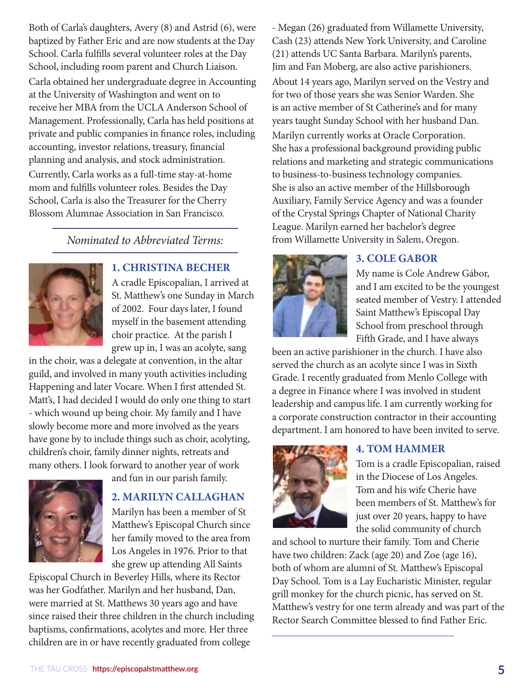Both of Carla's daughters, Avery (8) and Astrid (6), were baptized by Father Eric and are now students at the Day School. Carla fulfills several volunteer roles at the Day School, including room parent and Church Liaison. Carla obtained her undergraduate degree in Accounting at the University of Washington and went on to receive her MBA from the UCLA Anderson School of Management. Professionally, Carla has held positions at private and public companies in finance roles, including accounting, investor relations, treasury, financial planning and analysis, and stock administration. Currently, Carla works as a full-time stay-at-home mom and fulfills volunteer roles. Besides the Day School, Carla is also the Treasurer for the Cherry Blossom Alumnae Association in San Francisco.

#### *Nominated to Abbreviated Terms:*



#### **1. CHRISTINA BECHER**

A cradle Episcopalian, I arrived at St. Matthew's one Sunday in March of 2002. Four days later, I found myself in the basement attending choir practice. At the parish I grew up in, I was an acolyte, sang

in the choir, was a delegate at convention, in the altar guild, and involved in many youth activities including Happening and later Vocare. When I first attended St. Matt's, I had decided I would do only one thing to start - which wound up being choir. My family and I have slowly become more and more involved as the years have gone by to include things such as choir, acolyting, children's choir, family dinner nights, retreats and many others. I look forward to another year of work



and fun in our parish family.

#### **2. MARILYN CALLAGHAN**

Marilyn has been a member of St Matthew's Episcopal Church since her family moved to the area from Los Angeles in 1976. Prior to that she grew up attending All Saints

Episcopal Church in Beverley Hills, where its Rector was her Godfather. Marilyn and her husband, Dan, were married at St. Matthews 30 years ago and have since raised their three children in the church including baptisms, confirmations, acolytes and more. Her three children are in or have recently graduated from college

- Megan (26) graduated from Willamette University, Cash (23) attends New York University, and Caroline (21) attends UC Santa Barbara. Marilyn's parents, Jim and Fan Moberg, are also active parishioners. About 14 years ago, Marilyn served on the Vestry and for two of those years she was Senior Warden. She is an active member of St Catherine's and for many years taught Sunday School with her husband Dan. Marilyn currently works at Oracle Corporation. She has a professional background providing public relations and marketing and strategic communications to business-to-business technology companies. She is also an active member of the Hillsborough Auxiliary, Family Service Agency and was a founder of the Crystal Springs Chapter of National Charity League. Marilyn earned her bachelor's degree from Willamette University in Salem, Oregon.



#### **3. COLE GABOR**

My name is Cole Andrew Gábor, and I am excited to be the youngest seated member of Vestry. I attended Saint Matthew's Episcopal Day School from preschool through Fifth Grade, and I have always

been an active parishioner in the church. I have also served the church as an acolyte since I was in Sixth Grade. I recently graduated from Menlo College with a degree in Finance where I was involved in student leadership and campus life. I am currently working for a corporate construction contractor in their accounting department. I am honored to have been invited to serve.



#### **4. TOM HAMMER**

Tom is a cradle Episcopalian, raised in the Diocese of Los Angeles. Tom and his wife Cherie have been members of St. Matthew's for just over 20 years, happy to have the solid community of church

and school to nurture their family. Tom and Cherie have two children: Zack (age 20) and Zoe (age 16), both of whom are alumni of St. Matthew's Episcopal Day School. Tom is a Lay Eucharistic Minister, regular grill monkey for the church picnic, has served on St. Matthew's vestry for one term already and was part of the Rector Search Committee blessed to find Father Eric.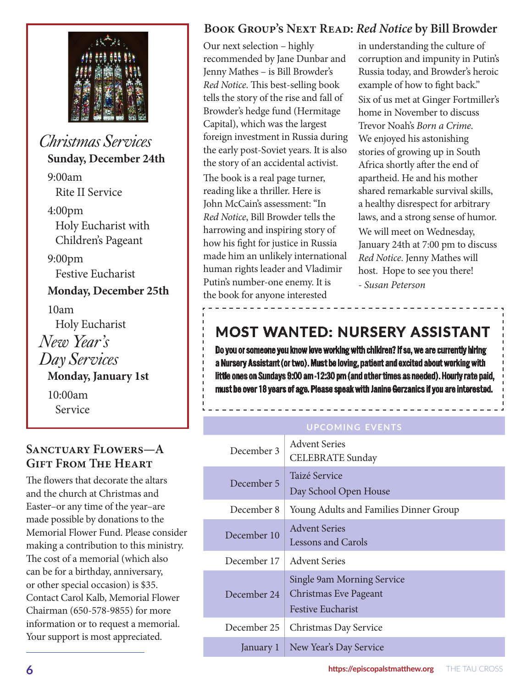

## *Christmas Services* **Sunday, December 24th**

9:00am Rite II Service 4:00pm Holy Eucharist with Children's Pageant 9:00pm Festive Eucharist **Monday, December 25th**  10am Holy Eucharist *New Year's Day Services* **Monday, January 1st**  10:00am Service

## **Sanctuary Flowers—A Gift From The Heart**

The flowers that decorate the altars and the church at Christmas and Easter–or any time of the year–are made possible by donations to the Memorial Flower Fund. Please consider making a contribution to this ministry. The cost of a memorial (which also can be for a birthday, anniversary, or other special occasion) is \$35. Contact Carol Kalb, Memorial Flower Chairman (650-578-9855) for more information or to request a memorial. Your support is most appreciated.

## **Book Group's Next Read:** *Red Notice* **by Bill Browder**

Our next selection – highly recommended by Jane Dunbar and Jenny Mathes – is Bill Browder's *Red Notice*. This best-selling book tells the story of the rise and fall of Browder's hedge fund (Hermitage Capital), which was the largest foreign investment in Russia during the early post-Soviet years. It is also the story of an accidental activist. The book is a real page turner, reading like a thriller. Here is John McCain's assessment: "In *Red Notice*, Bill Browder tells the harrowing and inspiring story of how his fight for justice in Russia made him an unlikely international human rights leader and Vladimir Putin's number-one enemy. It is the book for anyone interested

in understanding the culture of corruption and impunity in Putin's Russia today, and Browder's heroic example of how to fight back." Six of us met at Ginger Fortmiller's home in November to discuss Trevor Noah's *Born a Crime*. We enjoyed his astonishing stories of growing up in South Africa shortly after the end of apartheid. He and his mother shared remarkable survival skills, a healthy disrespect for arbitrary laws, and a strong sense of humor. We will meet on Wednesday, January 24th at 7:00 pm to discuss *Red Notice*. Jenny Mathes will host. Hope to see you there! *- Susan Peterson*

## **MOST WANTED: NURSERY ASSISTANT**

Do you or someone you know love working with children? If so, we are currently hiring a Nursery Assistant (or two). Must be loving, patient and excited about working with little ones on Sundays 9:00 am -12:30 pm (and other times as needed). Hourly rate paid, must be over 18 years of age. Please speak with Janine Gerzanics if you are interested.

#### **upcoming events**

| December 3  | <b>Advent Series</b><br><b>CELEBRATE</b> Sunday                                 |
|-------------|---------------------------------------------------------------------------------|
| December 5  | Taizé Service<br>Day School Open House                                          |
| December 8  | Young Adults and Families Dinner Group                                          |
| December 10 | <b>Advent Series</b><br><b>Lessons and Carols</b>                               |
| December 17 | <b>Advent Series</b>                                                            |
| December 24 | Single 9am Morning Service<br>Christmas Eve Pageant<br><b>Festive Eucharist</b> |
| December 25 | Christmas Day Service                                                           |
| January 1   | New Year's Day Service                                                          |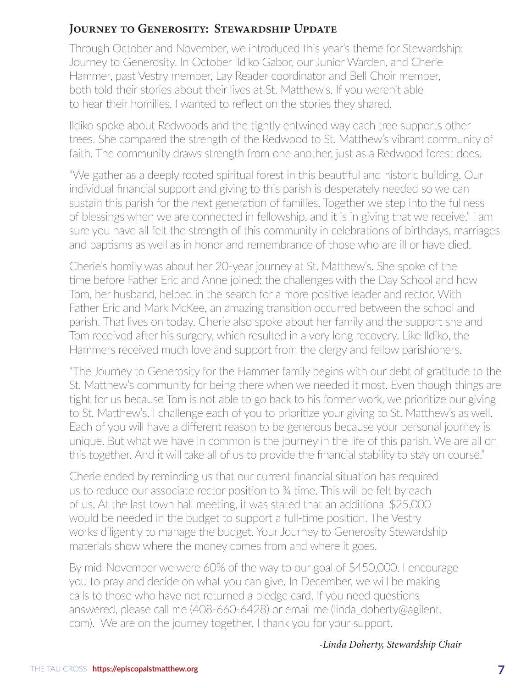## **JOURNEY TO GENEROSITY: STEWARDSHIP UPDATE**

Through October and November, we introduced this year's theme for Stewardship: Journey to Generosity. In October Ildiko Gabor, our Junior Warden, and Cherie Hammer, past Vestry member, Lay Reader coordinator and Bell Choir member, both told their stories about their lives at St. Matthew's. If you weren't able to hear their homilies, I wanted to reflect on the stories they shared.

Ildiko spoke about Redwoods and the tightly entwined way each tree supports other trees. She compared the strength of the Redwood to St. Matthew's vibrant community of faith. The community draws strength from one another, just as a Redwood forest does.

"We gather as a deeply rooted spiritual forest in this beautiful and historic building. Our individual financial support and giving to this parish is desperately needed so we can sustain this parish for the next generation of families. Together we step into the fullness of blessings when we are connected in fellowship, and it is in giving that we receive." I am sure you have all felt the strength of this community in celebrations of birthdays, marriages and baptisms as well as in honor and remembrance of those who are ill or have died.

Cherie's homily was about her 20-year journey at St. Matthew's. She spoke of the time before Father Eric and Anne joined: the challenges with the Day School and how Tom, her husband, helped in the search for a more positive leader and rector. With Father Eric and Mark McKee, an amazing transition occurred between the school and parish. That lives on today. Cherie also spoke about her family and the support she and Tom received after his surgery, which resulted in a very long recovery. Like Ildiko, the Hammers received much love and support from the clergy and fellow parishioners.

"The Journey to Generosity for the Hammer family begins with our debt of gratitude to the St. Matthew's community for being there when we needed it most. Even though things are tight for us because Tom is not able to go back to his former work, we prioritize our giving to St. Matthew's. I challenge each of you to prioritize your giving to St. Matthew's as well. Each of you will have a different reason to be generous because your personal journey is unique. But what we have in common is the journey in the life of this parish. We are all on this together. And it will take all of us to provide the financial stability to stay on course."

Cherie ended by reminding us that our current financial situation has required us to reduce our associate rector position to ¾ time. This will be felt by each of us. At the last town hall meeting, it was stated that an additional \$25,000 would be needed in the budget to support a full-time position. The Vestry works diligently to manage the budget. Your Journey to Generosity Stewardship materials show where the money comes from and where it goes.

By mid-November we were 60% of the way to our goal of \$450,000. I encourage you to pray and decide on what you can give. In December, we will be making calls to those who have not returned a pledge card. If you need questions answered, please call me (408-660-6428) or email me (linda\_doherty@agilent. com). We are on the journey together. I thank you for your support.

#### *-Linda Doherty, Stewardship Chair*